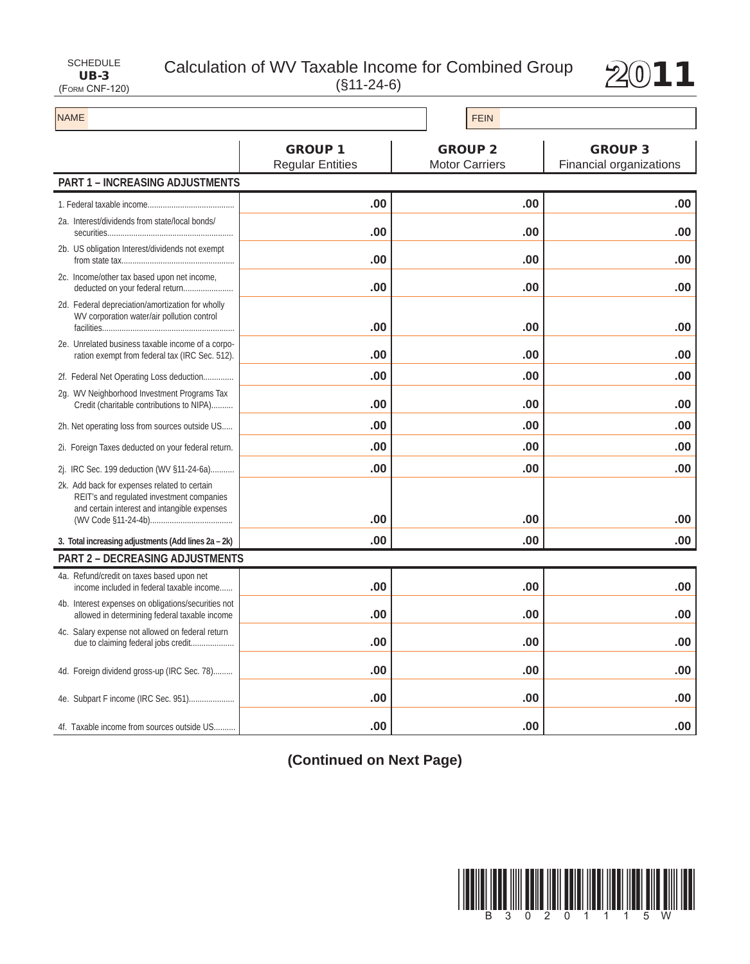UB-3 (Form CNF-120)

## SCHEDULE Calculation of WV Taxable Income for Combined Group  $2011$



| <b>NAME</b>                                                                                                                               |                                           | <b>FEIN</b>                             |                                           |
|-------------------------------------------------------------------------------------------------------------------------------------------|-------------------------------------------|-----------------------------------------|-------------------------------------------|
|                                                                                                                                           | <b>GROUP 1</b><br><b>Regular Entities</b> | <b>GROUP 2</b><br><b>Motor Carriers</b> | <b>GROUP 3</b><br>Financial organizations |
| <b>PART 1 - INCREASING ADJUSTMENTS</b>                                                                                                    |                                           |                                         |                                           |
|                                                                                                                                           | .00                                       | .00                                     | .00                                       |
| 2a. Interest/dividends from state/local bonds/                                                                                            | .00                                       | .00                                     | .00                                       |
| 2b. US obligation Interest/dividends not exempt                                                                                           | .00                                       | .00                                     | .00                                       |
| 2c. Income/other tax based upon net income,<br>deducted on your federal return                                                            | .00                                       | .00                                     | .00                                       |
| 2d. Federal depreciation/amortization for wholly<br>WV corporation water/air pollution control                                            | .00                                       | .00                                     | .00                                       |
| 2e. Unrelated business taxable income of a corpo-<br>ration exempt from federal tax (IRC Sec. 512).                                       | .00                                       | .00                                     | .00                                       |
| 2f. Federal Net Operating Loss deduction                                                                                                  | .00                                       | .00                                     | .00                                       |
| 2g. WV Neighborhood Investment Programs Tax<br>Credit (charitable contributions to NIPA)                                                  | .00                                       | .00                                     | .00                                       |
| 2h. Net operating loss from sources outside US                                                                                            | .00                                       | .00                                     | .00                                       |
| 2i. Foreign Taxes deducted on your federal return.                                                                                        | .00                                       | .00                                     | .00                                       |
| 2j. IRC Sec. 199 deduction (WV §11-24-6a)                                                                                                 | .00                                       | .00                                     | .00                                       |
| 2k. Add back for expenses related to certain<br>REIT's and regulated investment companies<br>and certain interest and intangible expenses |                                           |                                         |                                           |
|                                                                                                                                           | .00                                       | .00                                     | .00                                       |
| 3. Total increasing adjustments (Add lines 2a - 2k)                                                                                       | .00                                       | .00                                     | .00                                       |
| <b>PART 2 - DECREASING ADJUSTMENTS</b>                                                                                                    |                                           |                                         |                                           |
| 4a. Refund/credit on taxes based upon net<br>income included in federal taxable income                                                    | .00                                       | .00                                     | .00                                       |
| 4b. Interest expenses on obligations/securities not<br>allowed in determining federal taxable income                                      | .00                                       | .00                                     | .00                                       |
| 4c. Salary expense not allowed on federal return<br>due to claiming federal jobs credit                                                   | .00                                       | .00                                     | .00                                       |
| 4d. Foreign dividend gross-up (IRC Sec. 78)                                                                                               | .00                                       | .00                                     | .00                                       |
| 4e. Subpart F income (IRC Sec. 951)                                                                                                       | .00                                       | .00                                     | .00                                       |
| 4f. Taxable income from sources outside US                                                                                                | .00                                       | .00                                     | .00.                                      |

**(Continued on Next Page)**